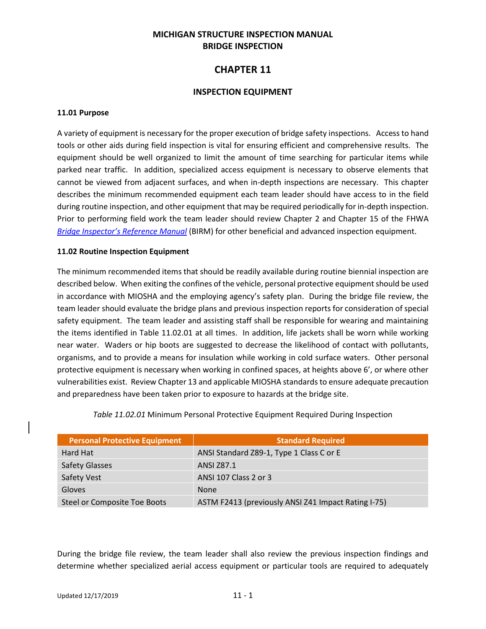### **MICHIGAN STRUCTURE INSPECTION MANUAL BRIDGE INSPECTION**

# **CHAPTER 11**

#### **INSPECTION EQUIPMENT**

#### **11.01 Purpose**

A variety of equipment is necessary for the proper execution of bridge safety inspections. Access to hand tools or other aids during field inspection is vital for ensuring efficient and comprehensive results. The equipment should be well organized to limit the amount of time searching for particular items while parked near traffic. In addition, specialized access equipment is necessary to observe elements that cannot be viewed from adjacent surfaces, and when in-depth inspections are necessary. This chapter describes the minimum recommended equipment each team leader should have access to in the field during routine inspection, and other equipment that may be required periodically for in-depth inspection. Prior to performing field work the team leader should review Chapter 2 and Chapter 15 of the FHWA *[Bridge Inspector's Reference Manual](http://www.fhwa.dot.gov/bridge/nbis/pubs/nhi12049.pdf)* (BIRM) for other beneficial and advanced inspection equipment.

#### **11.02 Routine Inspection Equipment**

The minimum recommended items that should be readily available during routine biennial inspection are described below. When exiting the confines of the vehicle, personal protective equipment should be used in accordance with MIOSHA and the employing agency's safety plan. During the bridge file review, the team leader should evaluate the bridge plans and previous inspection reports for consideration of special safety equipment. The team leader and assisting staff shall be responsible for wearing and maintaining the items identified in Table 11.02.01 at all times. In addition, life jackets shall be worn while working near water. Waders or hip boots are suggested to decrease the likelihood of contact with pollutants, organisms, and to provide a means for insulation while working in cold surface waters. Other personal protective equipment is necessary when working in confined spaces, at heights above 6', or where other vulnerabilities exist. Review Chapter 13 and applicable MIOSHA standards to ensure adequate precaution and preparedness have been taken prior to exposure to hazards at the bridge site.

| <b>Personal Protective Equipment</b> | <b>Standard Required</b>                            |
|--------------------------------------|-----------------------------------------------------|
| Hard Hat                             | ANSI Standard Z89-1, Type 1 Class C or E            |
| <b>Safety Glasses</b>                | <b>ANSI Z87.1</b>                                   |
| Safety Vest                          | ANSI 107 Class 2 or 3                               |
| Gloves                               | <b>None</b>                                         |
| Steel or Composite Toe Boots         | ASTM F2413 (previously ANSI Z41 Impact Rating I-75) |

*Table 11.02.01* Minimum Personal Protective Equipment Required During Inspection

During the bridge file review, the team leader shall also review the previous inspection findings and determine whether specialized aerial access equipment or particular tools are required to adequately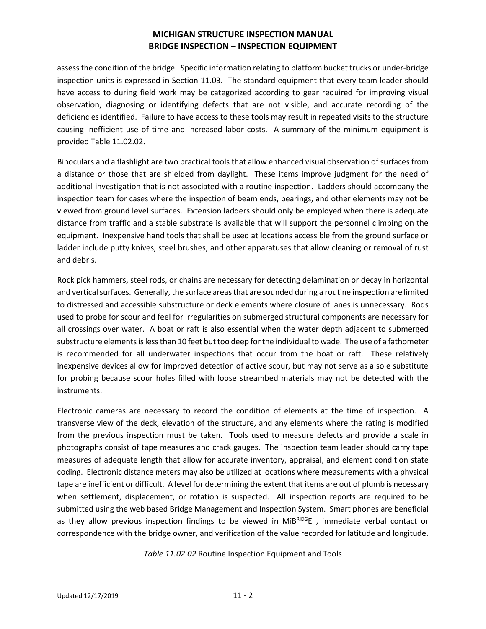assess the condition of the bridge. Specific information relating to platform bucket trucks or under-bridge inspection units is expressed in Section 11.03. The standard equipment that every team leader should have access to during field work may be categorized according to gear required for improving visual observation, diagnosing or identifying defects that are not visible, and accurate recording of the deficiencies identified. Failure to have access to these tools may result in repeated visits to the structure causing inefficient use of time and increased labor costs. A summary of the minimum equipment is provided Table 11.02.02.

Binoculars and a flashlight are two practical tools that allow enhanced visual observation of surfaces from a distance or those that are shielded from daylight. These items improve judgment for the need of additional investigation that is not associated with a routine inspection. Ladders should accompany the inspection team for cases where the inspection of beam ends, bearings, and other elements may not be viewed from ground level surfaces. Extension ladders should only be employed when there is adequate distance from traffic and a stable substrate is available that will support the personnel climbing on the equipment. Inexpensive hand tools that shall be used at locations accessible from the ground surface or ladder include putty knives, steel brushes, and other apparatuses that allow cleaning or removal of rust and debris.

Rock pick hammers, steel rods, or chains are necessary for detecting delamination or decay in horizontal and vertical surfaces. Generally, the surface areas that are sounded during a routine inspection are limited to distressed and accessible substructure or deck elements where closure of lanes is unnecessary. Rods used to probe for scour and feel for irregularities on submerged structural components are necessary for all crossings over water. A boat or raft is also essential when the water depth adjacent to submerged substructure elements is less than 10 feet but too deep for the individual to wade. The use of a fathometer is recommended for all underwater inspections that occur from the boat or raft. These relatively inexpensive devices allow for improved detection of active scour, but may not serve as a sole substitute for probing because scour holes filled with loose streambed materials may not be detected with the instruments.

Electronic cameras are necessary to record the condition of elements at the time of inspection. A transverse view of the deck, elevation of the structure, and any elements where the rating is modified from the previous inspection must be taken. Tools used to measure defects and provide a scale in photographs consist of tape measures and crack gauges. The inspection team leader should carry tape measures of adequate length that allow for accurate inventory, appraisal, and element condition state coding. Electronic distance meters may also be utilized at locations where measurements with a physical tape are inefficient or difficult. A level for determining the extent that items are out of plumb is necessary when settlement, displacement, or rotation is suspected. All inspection reports are required to be submitted using the web based Bridge Management and Inspection System. Smart phones are beneficial as they allow previous inspection findings to be viewed in MiBRIDGE, immediate verbal contact or correspondence with the bridge owner, and verification of the value recorded for latitude and longitude.

*Table 11.02.02* Routine Inspection Equipment and Tools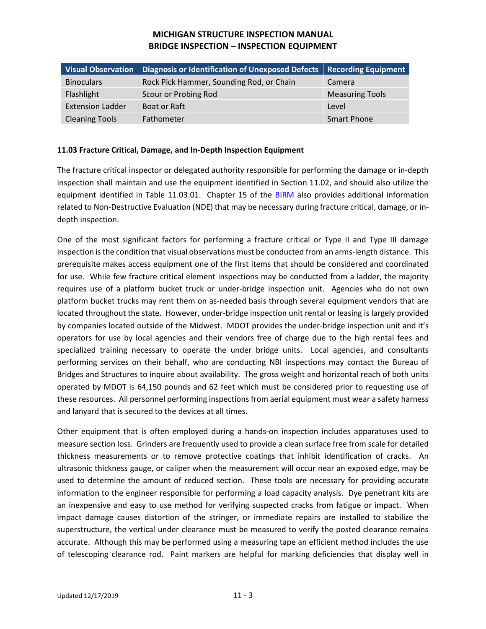|                         | Visual Observation   Diagnosis or Identification of Unexposed Defects   Recording Equipment |                        |
|-------------------------|---------------------------------------------------------------------------------------------|------------------------|
| <b>Binoculars</b>       | Rock Pick Hammer, Sounding Rod, or Chain                                                    | Camera                 |
| Flashlight              | Scour or Probing Rod                                                                        | <b>Measuring Tools</b> |
| <b>Extension Ladder</b> | Boat or Raft                                                                                | Level                  |
| <b>Cleaning Tools</b>   | Fathometer                                                                                  | <b>Smart Phone</b>     |

#### **11.03 Fracture Critical, Damage, and In-Depth Inspection Equipment**

The fracture critical inspector or delegated authority responsible for performing the damage or in-depth inspection shall maintain and use the equipment identified in Section 11.02, and should also utilize the equipment identified in Table 11.03.01. Chapter 15 of the [BIRM](http://www.fhwa.dot.gov/bridge/nbis/pubs/nhi12049.pdf) also provides additional information related to Non-Destructive Evaluation (NDE) that may be necessary during fracture critical, damage, or indepth inspection.

One of the most significant factors for performing a fracture critical or Type II and Type III damage inspection is the condition that visual observations must be conducted from an arms-length distance. This prerequisite makes access equipment one of the first items that should be considered and coordinated for use. While few fracture critical element inspections may be conducted from a ladder, the majority requires use of a platform bucket truck or under-bridge inspection unit. Agencies who do not own platform bucket trucks may rent them on as-needed basis through several equipment vendors that are located throughout the state. However, under-bridge inspection unit rental or leasing is largely provided by companies located outside of the Midwest. MDOT provides the under-bridge inspection unit and it's operators for use by local agencies and their vendors free of charge due to the high rental fees and specialized training necessary to operate the under bridge units. Local agencies, and consultants performing services on their behalf, who are conducting NBI inspections may contact the Bureau of Bridges and Structures to inquire about availability. The gross weight and horizontal reach of both units operated by MDOT is 64,150 pounds and 62 feet which must be considered prior to requesting use of these resources. All personnel performing inspections from aerial equipment must wear a safety harness and lanyard that is secured to the devices at all times.

Other equipment that is often employed during a hands-on inspection includes apparatuses used to measure section loss. Grinders are frequently used to provide a clean surface free from scale for detailed thickness measurements or to remove protective coatings that inhibit identification of cracks. An ultrasonic thickness gauge, or caliper when the measurement will occur near an exposed edge, may be used to determine the amount of reduced section. These tools are necessary for providing accurate information to the engineer responsible for performing a load capacity analysis. Dye penetrant kits are an inexpensive and easy to use method for verifying suspected cracks from fatigue or impact. When impact damage causes distortion of the stringer, or immediate repairs are installed to stabilize the superstructure, the vertical under clearance must be measured to verify the posted clearance remains accurate. Although this may be performed using a measuring tape an efficient method includes the use of telescoping clearance rod. Paint markers are helpful for marking deficiencies that display well in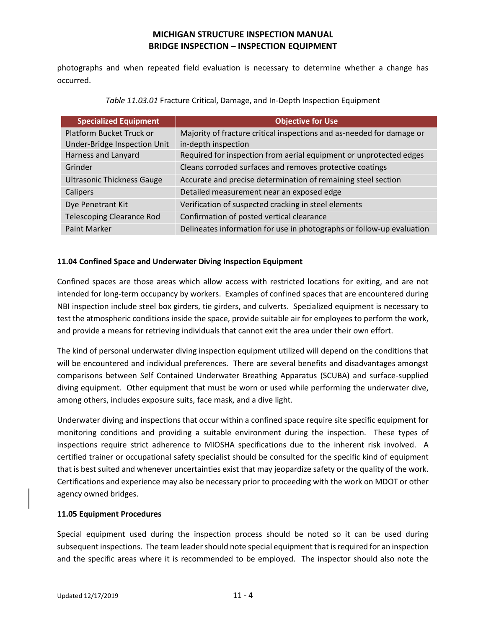photographs and when repeated field evaluation is necessary to determine whether a change has occurred.

| <b>Specialized Equipment</b>      | Objective for Use                                                     |
|-----------------------------------|-----------------------------------------------------------------------|
| Platform Bucket Truck or          | Majority of fracture critical inspections and as-needed for damage or |
| Under-Bridge Inspection Unit      | in-depth inspection                                                   |
| Harness and Lanyard               | Required for inspection from aerial equipment or unprotected edges    |
| Grinder                           | Cleans corroded surfaces and removes protective coatings              |
| <b>Ultrasonic Thickness Gauge</b> | Accurate and precise determination of remaining steel section         |
| Calipers                          | Detailed measurement near an exposed edge                             |
| Dye Penetrant Kit                 | Verification of suspected cracking in steel elements                  |
| <b>Telescoping Clearance Rod</b>  | Confirmation of posted vertical clearance                             |
| <b>Paint Marker</b>               | Delineates information for use in photographs or follow-up evaluation |

*Table 11.03.01* Fracture Critical, Damage, and In-Depth Inspection Equipment

#### **11.04 Confined Space and Underwater Diving Inspection Equipment**

Confined spaces are those areas which allow access with restricted locations for exiting, and are not intended for long-term occupancy by workers. Examples of confined spaces that are encountered during NBI inspection include steel box girders, tie girders, and culverts. Specialized equipment is necessary to test the atmospheric conditions inside the space, provide suitable air for employees to perform the work, and provide a means for retrieving individuals that cannot exit the area under their own effort.

The kind of personal underwater diving inspection equipment utilized will depend on the conditions that will be encountered and individual preferences. There are several benefits and disadvantages amongst comparisons between Self Contained Underwater Breathing Apparatus (SCUBA) and surface-supplied diving equipment. Other equipment that must be worn or used while performing the underwater dive, among others, includes exposure suits, face mask, and a dive light.

Underwater diving and inspections that occur within a confined space require site specific equipment for monitoring conditions and providing a suitable environment during the inspection. These types of inspections require strict adherence to MIOSHA specifications due to the inherent risk involved. A certified trainer or occupational safety specialist should be consulted for the specific kind of equipment that is best suited and whenever uncertainties exist that may jeopardize safety or the quality of the work. Certifications and experience may also be necessary prior to proceeding with the work on MDOT or other agency owned bridges.

#### **11.05 Equipment Procedures**

Special equipment used during the inspection process should be noted so it can be used during subsequent inspections. The team leader should note special equipment that isrequired for an inspection and the specific areas where it is recommended to be employed. The inspector should also note the